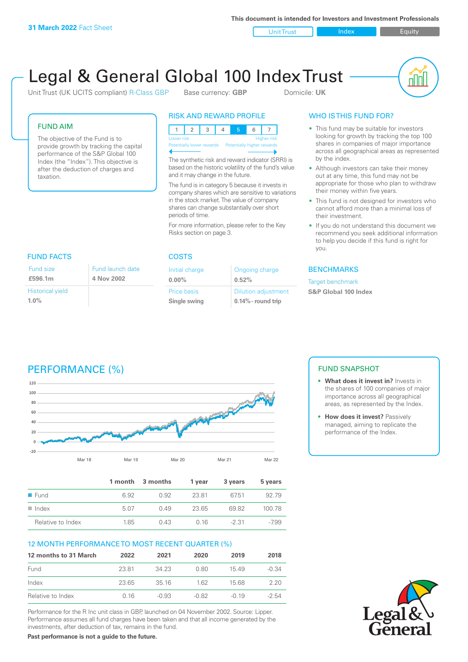**This document is intended for Investors and Investment Professionals**

Unit Trust Index I Equity



# Legal & General Global 100 Index Trust

Unit Trust (UK UCITS compliant) R-Class GBP Base currency: **GBP** Domicile: UK

### FUND AIM

The objective of the Fund is to provide growth by tracking the capital performance of the S&P Global 100 Index (the "Index"). This objective is after the deduction of charges and taxation.

### RISK AND REWARD PROFILE

123 4 5 6 7 Higher risk ntially lower rewards Potentially higher rewards

The synthetic risk and reward indicator (SRRI) is based on the historic volatility of the fund's value and it may change in the future.

The fund is in category 5 because it invests in company shares which are sensitive to variations in the stock market. The value of company shares can change substantially over short periods of time.

For more information, please refer to the Key Risks section on page 3.

| <b>FUND FACTS</b>       |                  |  |
|-------------------------|------------------|--|
| Fund size               | Fund launch date |  |
| £596.1m                 | 4 Nov 2002       |  |
| <b>Historical yield</b> |                  |  |
| $1.0\%$                 |                  |  |

### COSTS

| Initial charge | Ongoing charge             |
|----------------|----------------------------|
| $0.00\%$       | 0.52%                      |
| Price basis    | <b>Dilution adjustment</b> |
| Single swing   | $0.14\%$ - round trip      |

### WHO IS THIS FUND FOR?

- This fund may be suitable for investors looking for growth by tracking the top 100 shares in companies of major importance across all geographical areas as represented by the index.
- Although investors can take their money out at any time, this fund may not be appropriate for those who plan to withdraw their money within five years.
- This fund is not designed for investors who cannot afford more than a minimal loss of their investment.
- If you do not understand this document we recommend you seek additional information to help you decide if this fund is right for you.

### **BENCHMARKS**

Target benchmark

## **S&P Global 100 Index**

# PERFORMANCE (%)



|                      |      | 1 month 3 months | 1 vear | 3 years | 5 years |
|----------------------|------|------------------|--------|---------|---------|
| $\blacksquare$ Fund  | 6.92 | 0.92             | 23.81  | 6751    | 92.79   |
| $\blacksquare$ Index | 5.07 | 0.49             | 23.65  | 6982    | 100.78  |
| Relative to Index    | 1.85 | 0.43             | 0. 16  | $-2.31$ | -7.99   |

### 12 MONTH PERFORMANCE TO MOST RECENT QUARTER (%)

| 12 months to 31 March | 2022  | 2021    | 2020    | 2019    | 2018    |
|-----------------------|-------|---------|---------|---------|---------|
| Fund                  | 23.81 | 34 23   | 0.80    | 1549    | $-0.34$ |
| Index                 | 23.65 | 3516    | 162     | 15.68   | 220     |
| Relative to Index     | 0 16  | $-0.93$ | $-0.82$ | $-0.19$ | $-2.54$ |

Performance for the R Inc unit class in GBP, launched on 04 November 2002. Source: Lipper. Performance assumes all fund charges have been taken and that all income generated by the investments, after deduction of tax, remains in the fund.

**Past performance is not a guide to the future.**

### FUND SNAPSHOT

- **• What does it invest in?** Invests in the shares of 100 companies of major importance across all geographical areas, as represented by the Index.
- **• How does it invest?** Passively managed, aiming to replicate the performance of the Index.

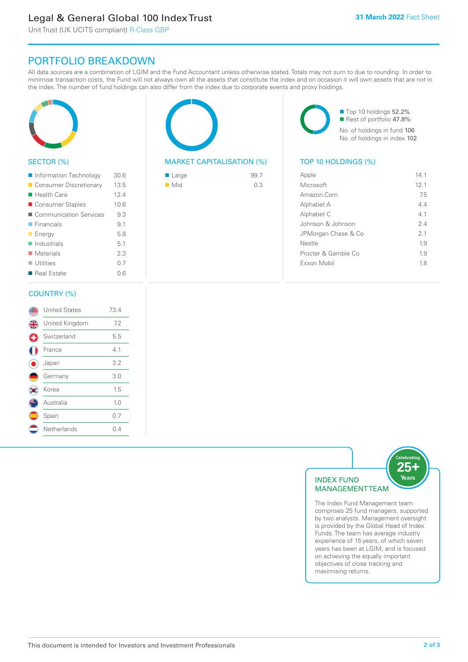# Legal & General Global 100 Index Trust

Unit Trust (UK UCITS compliant) R-Class GBP

# PORTFOLIO BREAKDOWN

All data sources are a combination of LGIM and the Fund Accountant unless otherwise stated. Totals may not sum to due to rounding. In order to minimise transaction costs, the Fund will not always own all the assets that constitute the index and on occasion it will own assets that are not in the index. The number of fund holdings can also differ from the index due to corporate events and proxy holdings.



### SECTOR (%)

| Information Technology     | 30.6 |
|----------------------------|------|
| ■ Consumer Discretionary   | 13.5 |
| ■ Health Care              | 12.4 |
| ■ Consumer Staples         | 10.6 |
| ■ Communication Services   | 9.3  |
| $\blacksquare$ Financials  | 9.1  |
| <b>Energy</b>              | 5.8  |
| $\blacksquare$ Industrials | 5.1  |
| $\blacksquare$ Materials   | 2.3  |
| $\blacksquare$ Utilities   | 0.7  |
| ■ Real Estate              | 0.6  |
|                            |      |

### MARKET CAPITALISATION (%) TOP 10 HOLDINGS (%)

| ■ Large            | 99.7 |
|--------------------|------|
| $\blacksquare$ Mid | 0.3  |

■ Top 10 holdings 52.2% Rest of portfolio 47.8% No. of holdings in fund 106 No. of holdings in index 102

| Apple               | 14 1 |
|---------------------|------|
| Microsoft           | 12.1 |
| Amazon Com          | 75   |
| Alphabet A          | 44   |
| Alphabet C          | 41   |
| Johnson & Johnson   | 2.4  |
| JPMorgan Chase & Co | 2.1  |
| Nestle              | 19   |
| Procter & Gamble Co | 1.9  |
| Exxon Mobil         | 18   |
|                     |      |

### COUNTRY (%)

|   | <b>United States</b> | 73.4 |  |
|---|----------------------|------|--|
| 4 | United Kingdom       | 7.2  |  |
| G | Switzerland          | 5.5  |  |
|   | France               | 4.1  |  |
|   | Japan                | 3.2  |  |
|   | Germany              | 3.0  |  |
|   | Korea                | 1.5  |  |
|   | Australia            | 1.0  |  |
|   | Spain                | 0.7  |  |
|   | Netherlands          | 0.4  |  |
|   |                      |      |  |



The Index Fund Management team comprises 25 fund managers, supported by two analysts. Management oversight is provided by the Global Head of Index Funds. The team has average industry experience of 15 years, of which seven years has been at LGIM, and is focused on achieving the equally important objectives of close tracking and maximising returns.